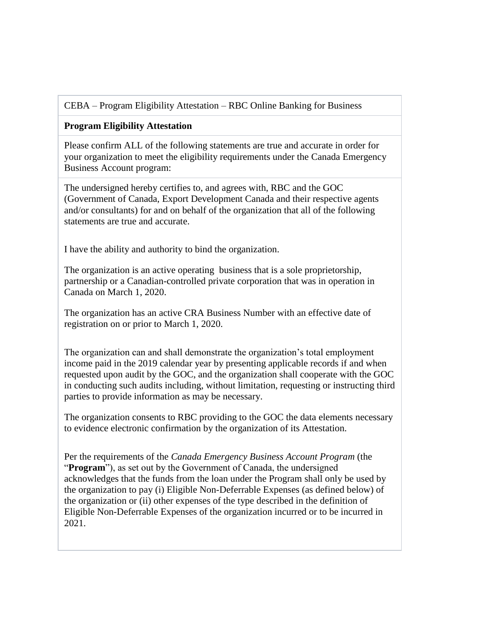## CEBA – Program Eligibility Attestation – RBC Online Banking for Business

## **Program Eligibility Attestation**

Please confirm ALL of the following statements are true and accurate in order for your organization to meet the eligibility requirements under the Canada Emergency Business Account program:

 The undersigned hereby certifies to, and agrees with, RBC and the GOC (Government of Canada, Export Development Canada and their respective agents and/or consultants) for and on behalf of the organization that all of the following statements are true and accurate.

I have the ability and authority to bind the organization.

 The organization is an active operating business that is a sole proprietorship, partnership or a Canadian-controlled private corporation that was in operation in Canada on March 1, 2020.

 The organization has an active CRA Business Number with an effective date of registration on or prior to March 1, 2020.

 The organization can and shall demonstrate the organization's total employment income paid in the 2019 calendar year by presenting applicable records if and when requested upon audit by the GOC, and the organization shall cooperate with the GOC in conducting such audits including, without limitation, requesting or instructing third parties to provide information as may be necessary.

 The organization consents to RBC providing to the GOC the data elements necessary to evidence electronic confirmation by the organization of its Attestation.

 Per the requirements of the *Canada Emergency Business Account Program* (the "**Program**"), as set out by the Government of Canada, the undersigned acknowledges that the funds from the loan under the Program shall only be used by the organization to pay (i) Eligible Non-Deferrable Expenses (as defined below) of the organization or (ii) other expenses of the type described in the definition of Eligible Non-Deferrable Expenses of the organization incurred or to be incurred in 2021.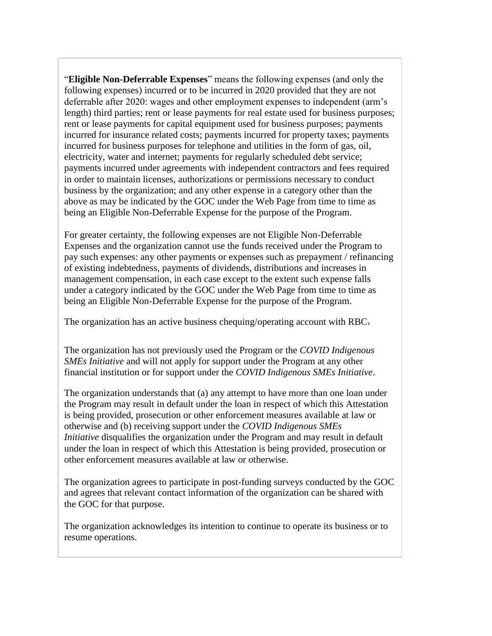"**Eligible Non-Deferrable Expenses**" means the following expenses (and only the following expenses) incurred or to be incurred in 2020 provided that they are not deferrable after 2020: wages and other employment expenses to independent (arm's length) third parties; rent or lease payments for real estate used for business purposes; rent or lease payments for capital equipment used for business purposes; payments incurred for insurance related costs; payments incurred for property taxes; payments incurred for business purposes for telephone and utilities in the form of gas, oil, electricity, water and internet; payments for regularly scheduled debt service; payments incurred under agreements with independent contractors and fees required in order to maintain licenses, authorizations or permissions necessary to conduct business by the organization; and any other expense in a category other than the above as may be indicated by the GOC under the Web Page from time to time as being an Eligible Non-Deferrable Expense for the purpose of the Program.

 For greater certainty, the following expenses are not Eligible Non-Deferrable Expenses and the organization cannot use the funds received under the Program to pay such expenses: any other payments or expenses such as prepayment / refinancing of existing indebtedness, payments of dividends, distributions and increases in management compensation, in each case except to the extent such expense falls under a category indicated by the GOC under the Web Page from time to time as being an Eligible Non-Deferrable Expense for the purpose of the Program.

The organization has an active business chequing/operating account with RBC.

 The organization has not previously used the Program or the *COVID Indigenous SMEs Initiative* and will not apply for support under the Program at any other financial institution or for support under the *COVID Indigenous SMEs Initiative*.

 The organization understands that (a) any attempt to have more than one loan under the Program may result in default under the loan in respect of which this Attestation is being provided, prosecution or other enforcement measures available at law or otherwise and (b) receiving support under the *COVID Indigenous SMEs Initiative* disqualifies the organization under the Program and may result in default under the loan in respect of which this Attestation is being provided, prosecution or other enforcement measures available at law or otherwise.

The organization agrees to participate in post-funding surveys conducted by the GOC and agrees that relevant contact information of the organization can be shared with the GOC for that purpose.

 The organization acknowledges its intention to continue to operate its business or to resume operations.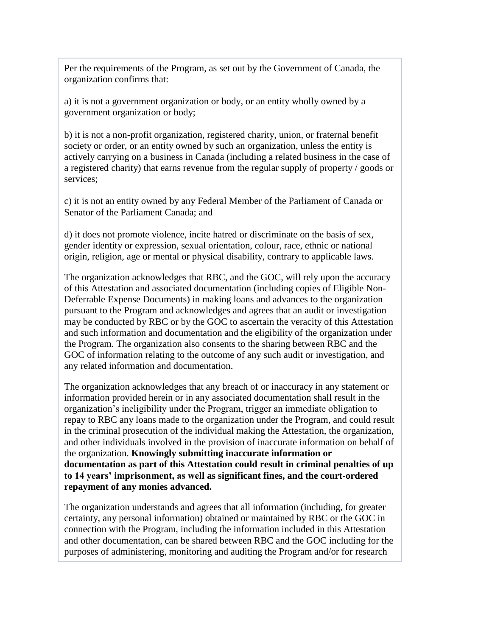Per the requirements of the Program, as set out by the Government of Canada, the organization confirms that:

a) it is not a government organization or body, or an entity wholly owned by a government organization or body;

b) it is not a non-profit organization, registered charity, union, or fraternal benefit society or order, or an entity owned by such an organization, unless the entity is actively carrying on a business in Canada (including a related business in the case of a registered charity) that earns revenue from the regular supply of property / goods or services;

c) it is not an entity owned by any Federal Member of the Parliament of Canada or Senator of the Parliament Canada; and

d) it does not promote violence, incite hatred or discriminate on the basis of sex, gender identity or expression, sexual orientation, colour, race, ethnic or national origin, religion, age or mental or physical disability, contrary to applicable laws.

 The organization acknowledges that RBC, and the GOC, will rely upon the accuracy of this Attestation and associated documentation (including copies of Eligible Non-Deferrable Expense Documents) in making loans and advances to the organization pursuant to the Program and acknowledges and agrees that an audit or investigation may be conducted by RBC or by the GOC to ascertain the veracity of this Attestation and such information and documentation and the eligibility of the organization under the Program. The organization also consents to the sharing between RBC and the GOC of information relating to the outcome of any such audit or investigation, and any related information and documentation.

 The organization acknowledges that any breach of or inaccuracy in any statement or information provided herein or in any associated documentation shall result in the organization's ineligibility under the Program, trigger an immediate obligation to repay to RBC any loans made to the organization under the Program, and could result in the criminal prosecution of the individual making the Attestation, the organization, and other individuals involved in the provision of inaccurate information on behalf of the organization. **Knowingly submitting inaccurate information or documentation as part of this Attestation could result in criminal penalties of up to 14 years' imprisonment, as well as significant fines, and the court-ordered repayment of any monies advanced.**

 The organization understands and agrees that all information (including, for greater certainty, any personal information) obtained or maintained by RBC or the GOC in connection with the Program, including the information included in this Attestation and other documentation, can be shared between RBC and the GOC including for the purposes of administering, monitoring and auditing the Program and/or for research